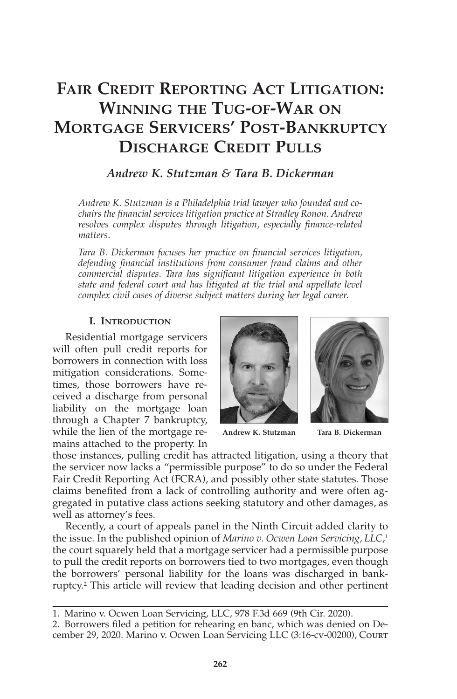# **FAIR CREDIT REPORTING ACT LITIGATION: WINNING THE TUG-OF-WAR ON MORTGAGE SERVICERS' POST-BANKRUPTCY DISCHARGE CREDIT PULLS**

# *Andrew K. Stutzman & Tara B. Dickerman*

*Andrew K. Stutzman is a Philadelphia trial lawyer who founded and cochairs the financial services litigation practice at Stradley Ronon. Andrew resolves complex disputes through litigation, especially finance-related matters.*

*Tara B. Dickerman focuses her practice on financial services litigation, defending financial institutions from consumer fraud claims and other commercial disputes. Tara has significant litigation experience in both state and federal court and has litigated at the trial and appellate level complex civil cases of diverse subject matters during her legal career.*

# **I. INTRODUCTION**

Residential mortgage servicers will often pull credit reports for borrowers in connection with loss mitigation considerations. Sometimes, those borrowers have received a discharge from personal liability on the mortgage loan through a Chapter 7 bankruptcy, while the lien of the mortgage remains attached to the property. In





those instances, pulling credit has attracted litigation, using a theory that the servicer now lacks a "permissible purpose" to do so under the Federal Fair Credit Reporting Act (FCRA), and possibly other state statutes. Those claims benefited from a lack of controlling authority and were often aggregated in putative class actions seeking statutory and other damages, as well as attorney's fees.

Recently, a court of appeals panel in the Ninth Circuit added clarity to the issue. In the published opinion of *Marino v. Ocwen Loan Servicing, LLC*, 1 the court squarely held that a mortgage servicer had a permissible purpose to pull the credit reports on borrowers tied to two mortgages, even though the borrowers' personal liability for the loans was discharged in bankruptcy.2 This article will review that leading decision and other pertinent

<sup>1.</sup> Marino v. Ocwen Loan Servicing, LLC, 978 F.3d 669 (9th Cir. 2020).

<sup>2.</sup> Borrowers filed a petition for rehearing en banc, which was denied on December 29, 2020. Marino v. Ocwen Loan Servicing LLC (3:16-cv-00200), Court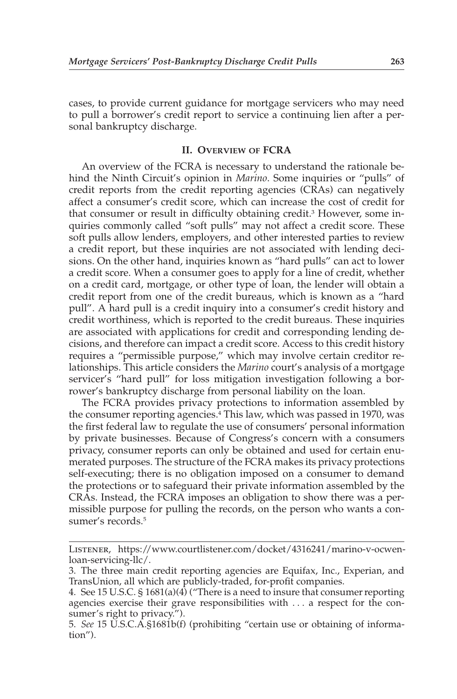cases, to provide current guidance for mortgage servicers who may need to pull a borrower's credit report to service a continuing lien after a personal bankruptcy discharge.

# **II. OVERVIEW OF FCRA**

An overview of the FCRA is necessary to understand the rationale behind the Ninth Circuit's opinion in *Marino*. Some inquiries or "pulls" of credit reports from the credit reporting agencies (CRAs) can negatively affect a consumer's credit score, which can increase the cost of credit for that consumer or result in difficulty obtaining credit.3 However, some inquiries commonly called "soft pulls" may not affect a credit score. These soft pulls allow lenders, employers, and other interested parties to review a credit report, but these inquiries are not associated with lending decisions. On the other hand, inquiries known as "hard pulls" can act to lower a credit score. When a consumer goes to apply for a line of credit, whether on a credit card, mortgage, or other type of loan, the lender will obtain a credit report from one of the credit bureaus, which is known as a "hard pull". A hard pull is a credit inquiry into a consumer's credit history and credit worthiness, which is reported to the credit bureaus. These inquiries are associated with applications for credit and corresponding lending decisions, and therefore can impact a credit score. Access to this credit history requires a "permissible purpose," which may involve certain creditor relationships. This article considers the *Marino* court's analysis of a mortgage servicer's "hard pull" for loss mitigation investigation following a borrower's bankruptcy discharge from personal liability on the loan.

The FCRA provides privacy protections to information assembled by the consumer reporting agencies.4 This law, which was passed in 1970, was the first federal law to regulate the use of consumers' personal information by private businesses. Because of Congress's concern with a consumers privacy, consumer reports can only be obtained and used for certain enumerated purposes. The structure of the FCRA makes its privacy protections self-executing; there is no obligation imposed on a consumer to demand the protections or to safeguard their private information assembled by the CRAs. Instead, the FCRA imposes an obligation to show there was a permissible purpose for pulling the records, on the person who wants a consumer's records.<sup>5</sup>

Listener, https://www.courtlistener.com/docket/4316241/marino-v-ocwenloan-servicing-llc/.

<sup>3.</sup> The three main credit reporting agencies are Equifax, Inc., Experian, and TransUnion, all which are publicly-traded, for-profit companies.

<sup>4.</sup> See 15 U.S.C. § 1681(a)(4) ("There is a need to insure that consumer reporting agencies exercise their grave responsibilities with . . . a respect for the consumer's right to privacy.").

<sup>5.</sup> *See* 15 U.S.C.A.§1681b(f) (prohibiting "certain use or obtaining of information").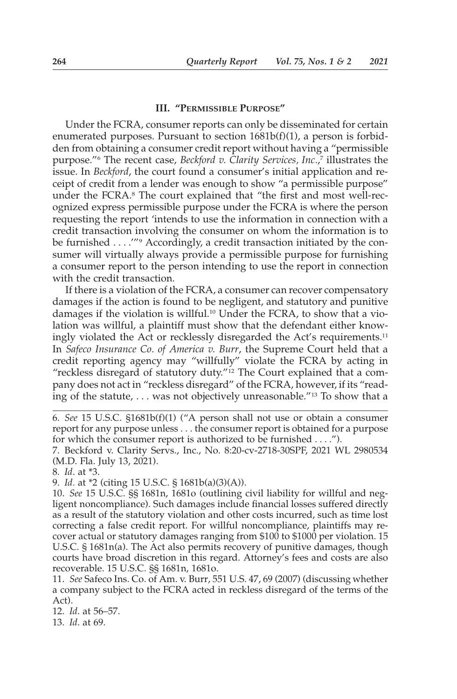#### **III. "PERMISSIBLE PURPOSE"**

Under the FCRA, consumer reports can only be disseminated for certain enumerated purposes. Pursuant to section  $1681b(f)(1)$ , a person is forbidden from obtaining a consumer credit report without having a "permissible purpose."6 The recent case, *Beckford v. Clarity Services, Inc.*, <sup>7</sup> illustrates the issue. In *Beckford*, the court found a consumer's initial application and receipt of credit from a lender was enough to show "a permissible purpose" under the FCRA.8 The court explained that "the first and most well-recognized express permissible purpose under the FCRA is where the person requesting the report 'intends to use the information in connection with a credit transaction involving the consumer on whom the information is to be furnished . . . .'"9 Accordingly, a credit transaction initiated by the consumer will virtually always provide a permissible purpose for furnishing a consumer report to the person intending to use the report in connection with the credit transaction.

If there is a violation of the FCRA, a consumer can recover compensatory damages if the action is found to be negligent, and statutory and punitive damages if the violation is willful.10 Under the FCRA, to show that a violation was willful, a plaintiff must show that the defendant either knowingly violated the Act or recklessly disregarded the Act's requirements.<sup>11</sup> In *Safeco Insurance Co. of America v. Burr*, the Supreme Court held that a credit reporting agency may "willfully" violate the FCRA by acting in "reckless disregard of statutory duty."12 The Court explained that a company does not act in "reckless disregard" of the FCRA, however, if its "reading of the statute, . . . was not objectively unreasonable."13 To show that a

8. *Id.* at \*3.

9. *Id.* at \*2 (citing 15 U.S.C. § 1681b(a)(3)(A)).

10. *See* 15 U.S.C. §§ 1681n, 1681o (outlining civil liability for willful and negligent noncompliance). Such damages include financial losses suffered directly as a result of the statutory violation and other costs incurred, such as time lost correcting a false credit report. For willful noncompliance, plaintiffs may recover actual or statutory damages ranging from \$100 to \$1000 per violation. 15 U.S.C. § 1681n(a). The Act also permits recovery of punitive damages, though courts have broad discretion in this regard. Attorney's fees and costs are also recoverable. 15 U.S.C. §§ 1681n, 1681o.

11. *See* Safeco Ins. Co. of Am. v. Burr, 551 U.S. 47, 69 (2007) (discussing whether a company subject to the FCRA acted in reckless disregard of the terms of the Act).

12. *Id*. at 56–57.

13. *Id*. at 69.

<sup>6.</sup> *See* 15 U.S.C. §1681b(f)(1) ("A person shall not use or obtain a consumer report for any purpose unless . . . the consumer report is obtained for a purpose for which the consumer report is authorized to be furnished . . . .").

<sup>7.</sup> Beckford v. Clarity Servs., Inc., No. 8:20-cv-2718-30SPF, 2021 WL 2980534 (M.D. Fla. July 13, 2021).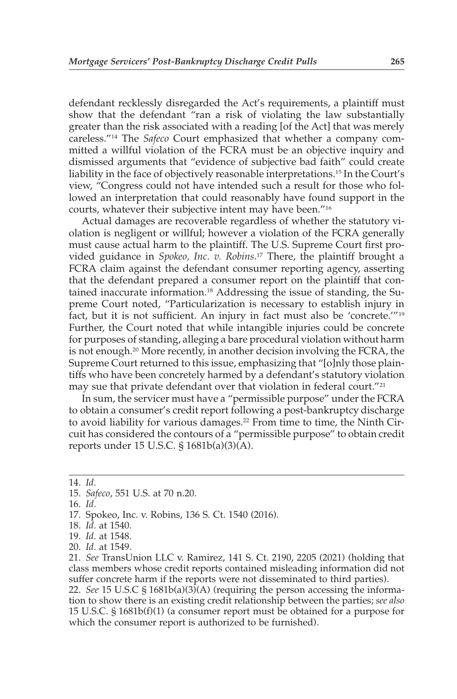defendant recklessly disregarded the Act's requirements, a plaintiff must show that the defendant "ran a risk of violating the law substantially greater than the risk associated with a reading [of the Act] that was merely careless."14 The *Safeco* Court emphasized that whether a company committed a willful violation of the FCRA must be an objective inquiry and dismissed arguments that "evidence of subjective bad faith" could create liability in the face of objectively reasonable interpretations.15 In the Court's view, "Congress could not have intended such a result for those who followed an interpretation that could reasonably have found support in the courts, whatever their subjective intent may have been."16

Actual damages are recoverable regardless of whether the statutory violation is negligent or willful; however a violation of the FCRA generally must cause actual harm to the plaintiff. The U.S. Supreme Court first provided guidance in *Spokeo, Inc. v. Robins*. <sup>17</sup> There, the plaintiff brought a FCRA claim against the defendant consumer reporting agency, asserting that the defendant prepared a consumer report on the plaintiff that contained inaccurate information.18 Addressing the issue of standing, the Supreme Court noted, "Particularization is necessary to establish injury in fact, but it is not sufficient. An injury in fact must also be 'concrete.'"19 Further, the Court noted that while intangible injuries could be concrete for purposes of standing, alleging a bare procedural violation without harm is not enough.20 More recently, in another decision involving the FCRA, the Supreme Court returned to this issue, emphasizing that "[o]nly those plaintiffs who have been concretely harmed by a defendant's statutory violation may sue that private defendant over that violation in federal court."21

In sum, the servicer must have a "permissible purpose" under the FCRA to obtain a consumer's credit report following a post-bankruptcy discharge to avoid liability for various damages.<sup>22</sup> From time to time, the Ninth Circuit has considered the contours of a "permissible purpose" to obtain credit reports under 15 U.S.C. § 1681b(a)(3)(A).

- 17. Spokeo, Inc. v. Robins, 136 S. Ct. 1540 (2016).
- 18. *Id.* at 1540.
- 19. *Id.* at 1548.
- 20. *Id.* at 1549.

21. *See* TransUnion LLC v. Ramirez, 141 S. Ct. 2190, 2205 (2021) (holding that class members whose credit reports contained misleading information did not suffer concrete harm if the reports were not disseminated to third parties).

22. *See* 15 U.S.C § 1681b(a)(3)(A) (requiring the person accessing the information to show there is an existing credit relationship between the parties; *see also* 15 U.S.C. § 1681b(f)(1) (a consumer report must be obtained for a purpose for which the consumer report is authorized to be furnished).

<sup>14.</sup> *Id.*

<sup>15.</sup> *Safeco*, 551 U.S. at 70 n.20.

<sup>16.</sup> *Id.*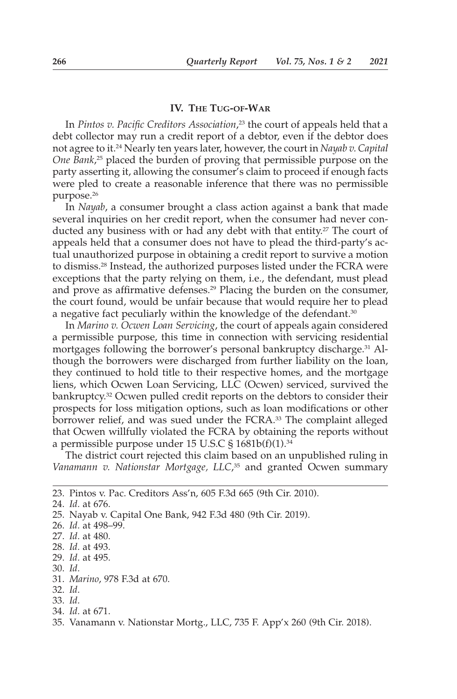### **IV. THE TUG-OF-WAR**

In *Pintos v. Pacific Creditors Association*, <sup>23</sup> the court of appeals held that a debt collector may run a credit report of a debtor, even if the debtor does not agree to it.24 Nearly ten years later, however, the court in *Nayab v. Capital One Bank*, <sup>25</sup> placed the burden of proving that permissible purpose on the party asserting it, allowing the consumer's claim to proceed if enough facts were pled to create a reasonable inference that there was no permissible purpose.26

In *Nayab*, a consumer brought a class action against a bank that made several inquiries on her credit report, when the consumer had never conducted any business with or had any debt with that entity.<sup>27</sup> The court of appeals held that a consumer does not have to plead the third-party's actual unauthorized purpose in obtaining a credit report to survive a motion to dismiss.28 Instead, the authorized purposes listed under the FCRA were exceptions that the party relying on them, i.e., the defendant, must plead and prove as affirmative defenses.29 Placing the burden on the consumer, the court found, would be unfair because that would require her to plead a negative fact peculiarly within the knowledge of the defendant.<sup>30</sup>

In *Marino v. Ocwen Loan Servicing*, the court of appeals again considered a permissible purpose, this time in connection with servicing residential mortgages following the borrower's personal bankruptcy discharge.31 Although the borrowers were discharged from further liability on the loan, they continued to hold title to their respective homes, and the mortgage liens, which Ocwen Loan Servicing, LLC (Ocwen) serviced, survived the bankruptcy.32 Ocwen pulled credit reports on the debtors to consider their prospects for loss mitigation options, such as loan modifications or other borrower relief, and was sued under the FCRA.<sup>33</sup> The complaint alleged that Ocwen willfully violated the FCRA by obtaining the reports without a permissible purpose under 15 U.S.C § 1681b(f)(1).34

The district court rejected this claim based on an unpublished ruling in *Vanamann v. Nationstar Mortgage, LLC*, <sup>35</sup> and granted Ocwen summary

- 30. *Id.*
- 31. *Marino*, 978 F.3d at 670.
- 32. *Id.*

34. *Id.* at 671.

<sup>23.</sup> Pintos v. Pac. Creditors Ass'n, 605 F.3d 665 (9th Cir. 2010).

<sup>24.</sup> *Id.* at 676.

<sup>25.</sup> Nayab v. Capital One Bank, 942 F.3d 480 (9th Cir. 2019).

<sup>26.</sup> *Id.* at 498–99.

<sup>27.</sup> *Id.* at 480.

<sup>28.</sup> *Id.* at 493.

<sup>29.</sup> *Id.* at 495.

<sup>33.</sup> *Id.*

<sup>35.</sup> Vanamann v. Nationstar Mortg., LLC, 735 F. App'x 260 (9th Cir. 2018).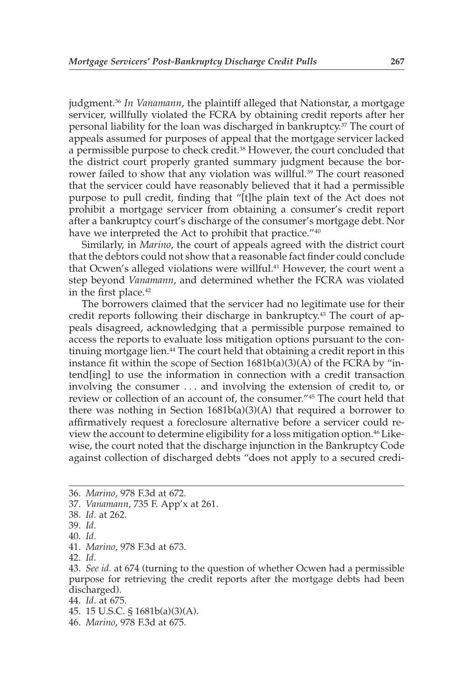judgment.36 *In Vanamann*, the plaintiff alleged that Nationstar, a mortgage servicer, willfully violated the FCRA by obtaining credit reports after her personal liability for the loan was discharged in bankruptcy.37 The court of appeals assumed for purposes of appeal that the mortgage servicer lacked a permissible purpose to check credit.38 However, the court concluded that the district court properly granted summary judgment because the borrower failed to show that any violation was willful.<sup>39</sup> The court reasoned that the servicer could have reasonably believed that it had a permissible purpose to pull credit, finding that "[t]he plain text of the Act does not prohibit a mortgage servicer from obtaining a consumer's credit report after a bankruptcy court's discharge of the consumer's mortgage debt. Nor have we interpreted the Act to prohibit that practice."<sup>40</sup>

Similarly, in *Marino*, the court of appeals agreed with the district court that the debtors could not show that a reasonable fact finder could conclude that Ocwen's alleged violations were willful.<sup>41</sup> However, the court went a step beyond *Vanamann*, and determined whether the FCRA was violated in the first place.<sup>42</sup>

The borrowers claimed that the servicer had no legitimate use for their credit reports following their discharge in bankruptcy.<sup>43</sup> The court of appeals disagreed, acknowledging that a permissible purpose remained to access the reports to evaluate loss mitigation options pursuant to the continuing mortgage lien.<sup>44</sup> The court held that obtaining a credit report in this instance fit within the scope of Section 1681b(a)(3)(A) of the FCRA by "intend[ing] to use the information in connection with a credit transaction involving the consumer . . . and involving the extension of credit to, or review or collection of an account of, the consumer."45 The court held that there was nothing in Section 1681b(a)(3)(A) that required a borrower to affirmatively request a foreclosure alternative before a servicer could review the account to determine eligibility for a loss mitigation option.46Likewise, the court noted that the discharge injunction in the Bankruptcy Code against collection of discharged debts "does not apply to a secured credi-

<sup>36.</sup> *Marino*, 978 F.3d at 672.

<sup>37.</sup> *Vanamann*, 735 F. App'x at 261.

<sup>38.</sup> *Id.* at 262.

<sup>39.</sup> *Id.*

<sup>40.</sup> *Id.*

<sup>41.</sup> *Marino*, 978 F.3d at 673.

<sup>42.</sup> *Id.*

<sup>43.</sup> *See id.* at 674 (turning to the question of whether Ocwen had a permissible purpose for retrieving the credit reports after the mortgage debts had been discharged).

<sup>44.</sup> *Id.* at 675.

<sup>45. 15</sup> U.S.C. § 1681b(a)(3)(A).

<sup>46.</sup> *Marino*, 978 F.3d at 675.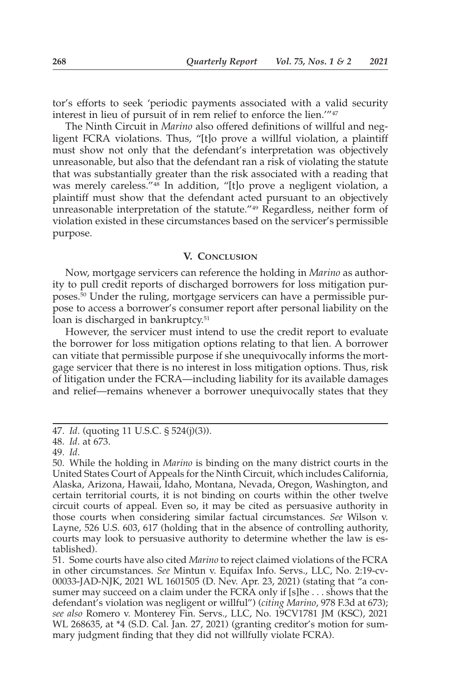tor's efforts to seek 'periodic payments associated with a valid security interest in lieu of pursuit of in rem relief to enforce the lien.'"47

The Ninth Circuit in *Marino* also offered definitions of willful and negligent FCRA violations. Thus, "[t]o prove a willful violation, a plaintiff must show not only that the defendant's interpretation was objectively unreasonable, but also that the defendant ran a risk of violating the statute that was substantially greater than the risk associated with a reading that was merely careless."48 In addition, "[t]o prove a negligent violation, a plaintiff must show that the defendant acted pursuant to an objectively unreasonable interpretation of the statute."49 Regardless, neither form of violation existed in these circumstances based on the servicer's permissible purpose.

#### **V. CONCLUSION**

Now, mortgage servicers can reference the holding in *Marino* as authority to pull credit reports of discharged borrowers for loss mitigation purposes.50 Under the ruling, mortgage servicers can have a permissible purpose to access a borrower's consumer report after personal liability on the loan is discharged in bankruptcy.<sup>51</sup>

However, the servicer must intend to use the credit report to evaluate the borrower for loss mitigation options relating to that lien. A borrower can vitiate that permissible purpose if she unequivocally informs the mortgage servicer that there is no interest in loss mitigation options. Thus, risk of litigation under the FCRA—including liability for its available damages and relief—remains whenever a borrower unequivocally states that they

<sup>47.</sup> *Id.* (quoting 11 U.S.C. § 524(j)(3)).

<sup>48.</sup> *Id.* at 673.

<sup>49.</sup> *Id.*

<sup>50.</sup> While the holding in *Marino* is binding on the many district courts in the United States Court of Appeals for the Ninth Circuit, which includes California, Alaska, Arizona, Hawaii, Idaho, Montana, Nevada, Oregon, Washington, and certain territorial courts, it is not binding on courts within the other twelve circuit courts of appeal. Even so, it may be cited as persuasive authority in those courts when considering similar factual circumstances. *See* Wilson v. Layne, 526 U.S. 603, 617 (holding that in the absence of controlling authority, courts may look to persuasive authority to determine whether the law is established).

<sup>51.</sup> Some courts have also cited *Marino* to reject claimed violations of the FCRA in other circumstances. *See* Mintun v. Equifax Info. Servs., LLC, No. 2:19-cv-00033-JAD-NJK, 2021 WL 1601505 (D. Nev. Apr. 23, 2021) (stating that "a consumer may succeed on a claim under the FCRA only if [s]he . . . shows that the defendant's violation was negligent or willful") (*citing Marino*, 978 F.3d at 673); *see also* Romero v. Monterey Fin. Servs., LLC, No. 19CV1781 JM (KSC), 2021 WL 268635, at \*4 (S.D. Cal. Jan. 27, 2021) (granting creditor's motion for summary judgment finding that they did not willfully violate FCRA).